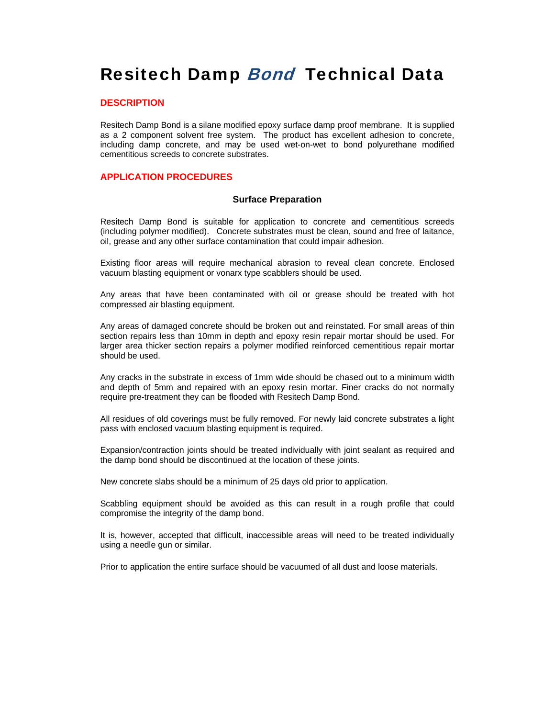# Resitech Damp Bond Technical Data

#### **DESCRIPTION**

Resitech Damp Bond is a silane modified epoxy surface damp proof membrane. It is supplied as a 2 component solvent free system. The product has excellent adhesion to concrete, including damp concrete, and may be used wet-on-wet to bond polyurethane modified cementitious screeds to concrete substrates.

### **APPLICATION PROCEDURES**

#### **Surface Preparation**

Resitech Damp Bond is suitable for application to concrete and cementitious screeds (including polymer modified). Concrete substrates must be clean, sound and free of laitance, oil, grease and any other surface contamination that could impair adhesion.

Existing floor areas will require mechanical abrasion to reveal clean concrete. Enclosed vacuum blasting equipment or vonarx type scabblers should be used.

Any areas that have been contaminated with oil or grease should be treated with hot compressed air blasting equipment.

Any areas of damaged concrete should be broken out and reinstated. For small areas of thin section repairs less than 10mm in depth and epoxy resin repair mortar should be used. For larger area thicker section repairs a polymer modified reinforced cementitious repair mortar should be used.

Any cracks in the substrate in excess of 1mm wide should be chased out to a minimum width and depth of 5mm and repaired with an epoxy resin mortar. Finer cracks do not normally require pre-treatment they can be flooded with Resitech Damp Bond.

All residues of old coverings must be fully removed. For newly laid concrete substrates a light pass with enclosed vacuum blasting equipment is required.

Expansion/contraction joints should be treated individually with joint sealant as required and the damp bond should be discontinued at the location of these joints.

New concrete slabs should be a minimum of 25 days old prior to application.

Scabbling equipment should be avoided as this can result in a rough profile that could compromise the integrity of the damp bond.

It is, however, accepted that difficult, inaccessible areas will need to be treated individually using a needle gun or similar.

Prior to application the entire surface should be vacuumed of all dust and loose materials.